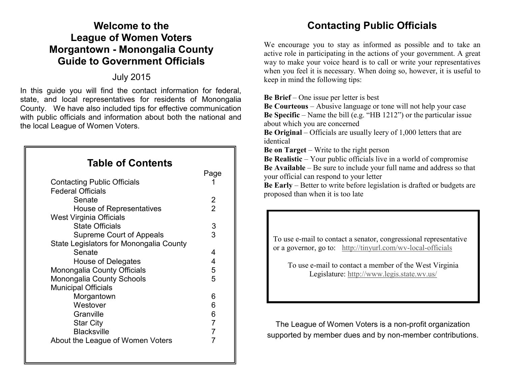## **Welcome to the League of Women Voters Morgantown - Monongalia County Guide to Government Officials**

## July 2015

In this guide you will find the contact information for federal, state, and local representatives for residents of Monongalia County. We have also included tips for effective communication with public officials and information about both the national and the local League of Women Voters.

## **Table of Contents**

|                                         | Page           |
|-----------------------------------------|----------------|
| Contacting Public Officials             |                |
| <b>Federal Officials</b>                |                |
| Senate                                  | 2              |
| House of Representatives                | $\overline{2}$ |
| <b>West Virginia Officials</b>          |                |
| <b>State Officials</b>                  | 3              |
| Supreme Court of Appeals                | 3              |
| State Legislators for Monongalia County |                |
| Senate                                  | 4              |
| House of Delegates                      | 4              |
| Monongalia County Officials             | 5              |
| Monongalia County Schools               | 5              |
| <b>Municipal Officials</b>              |                |
| Morgantown                              | 6              |
| Westover                                | 6              |
| Granville                               | 6              |
| <b>Star City</b>                        | 7              |
| <b>Blacksville</b>                      | 7              |
| About the League of Women Voters        | 7              |

## **Contacting Public Officials**

We encourage you to stay as informed as possible and to take an active role in participating in the actions of your government. A great way to make your voice heard is to call or write your representatives when you feel it is necessary. When doing so, however, it is useful to keep in mind the following tips:

**Be Brief** – One issue per letter is best

**Be Courteous** – Abusive language or tone will not help your case **Be Specific** – Name the bill (e.g. "HB 1212") or the particular issue about which you are concerned

**Be Original** – Officials are usually leery of 1,000 letters that are identical

**Be on Target** – Write to the right person

**Be Realistic** – Your public officials live in a world of compromise **Be Available** – Be sure to include your full name and address so that your official can respond to your letter

**Be Early** – Better to write before legislation is drafted or budgets are proposed than when it is too late

To use e-mail to contact a senator, congressional representative or a governor, go to: [http://tinyurl.com/wv](http://www.lwv.org/)-local-officials

To use e-mail to contact a member of the West Virginia Legislature:<http://www.legis.state.wv.us/>

The League of Women Voters is a non-profit organization supported by member dues and by non-member contributions.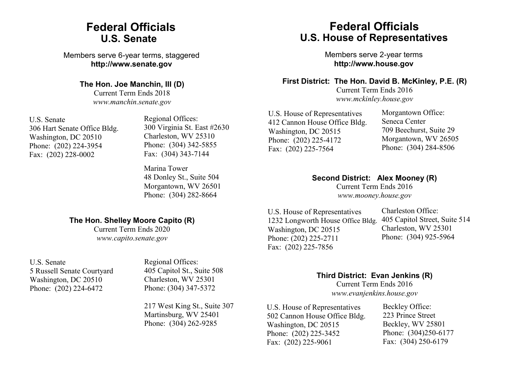## **Federal Officials U.S. Senate**

Members serve 6-year terms, staggered **http://www.senate.gov**

#### **The Hon. Joe Manchin, III (D)**

Current Term Ends 2018 *www.manchin.senate.gov*

U.S. Senate 306 Hart Senate Office Bldg. Washington, DC 20510 Phone: (202) 224-3954 Fax: (202) 228-0002

Regional Offices: 300 Virginia St. East #2630 Charleston, WV 25310 Phone: (304) 342-5855 Fax: (304) 343-7144

Marina Tower 48 Donley St., Suite 504 Morgantown, WV 26501 Phone: (304) 282-8664

### **The Hon. Shelley Moore Capito (R)**

Current Term Ends 2020 *www.capito.senate.gov*

U.S. Senate 5 Russell Senate Courtyard Washington, DC 20510 Phone: (202) 224-6472

Regional Offices: 405 Capitol St., Suite 508 Charleston, WV 25301 Phone: (304) 347-5372

217 West King St., Suite 307 Martinsburg, WV 25401 Phone: (304) 262-9285

## **Federal Officials U.S. House of Representatives**

Members serve 2-year terms **http://www.house.gov**

### **First District: The Hon. David B. McKinley, P.E. (R)**

Current Term Ends 2016 *www.mckinley.house.gov*

U.S. House of Representatives 412 Cannon House Office Bldg. Washington, DC 20515 Phone: (202) 225-4172 Fax: (202) 225-7564

Morgantown Office: Seneca Center 709 Beechurst, Suite 29 Morgantown, WV 26505 Phone: (304) 284-8506

**Second District: Alex Mooney (R)**

Current Term Ends 2016 *www.mooney.house.gov*

U.S. House of Representatives 1232 Longworth House Office Bldg. Washington, DC 20515 Phone: (202) 225-2711 Fax: (202) 225-7856

Charleston Office: 405 Capitol Street, Suite 514 Charleston, WV 25301 Phone: (304) 925-5964

### **Third District: Evan Jenkins (R)**

Current Term Ends 2016 *www.evanjenkins.house.gov*

U.S. House of Representatives 502 Cannon House Office Bldg. Washington, DC 20515 Phone: (202) 225-3452 Fax: (202) 225-9061

Beckley Office: 223 Prince Street Beckley, WV 25801 Phone: (304)250-6177 Fax: (304) 250-6179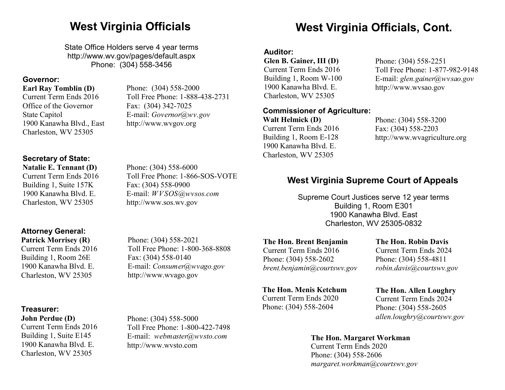State Office Holders serve 4 year terms http://www.wv.gov/pages/default.aspx Phone: (304) 558-3456

Phone: (304) 558-2000

E-mail: *Governor@wv.gov* http://www.wvgov.org

Fax: (304) 342-7025

Toll Free Phone: 1-888-438-2731

#### **Governor:**

#### **Earl Ray Tomblin (D)**

Current Term Ends 2016 Office of the Governor State Capitol 1900 Kanawha Blvd., East Charleston, WV 25305

**Secretary of State:** 

**Natalie E. Tennant (D)** Current Term Ends 2016 Building 1, Suite 157K 1900 Kanawha Blvd. E. Charleston, WV 25305

#### Phone: (304) 558-6000 Toll Free Phone: 1-866-SOS-VOTE Fax: (304) 558-0900 E-mail: *WVSOS@wvsos.com*  http://www.sos.wv.gov

## **West Virginia Officials West Virginia Officials, Cont.**

#### **Auditor:**

**Glen B. Gainer, III (D)** Current Term Ends 2016 Building 1, Room W-100 1900 Kanawha Blvd. E. Charleston, WV 25305

#### **Commissioner of Agriculture:**

**Walt Helmick (D)** Current Term Ends 2016 Building 1, Room E-128 1900 Kanawha Blvd. E. Charleston, WV 25305

Phone: (304) 558-2251 Toll Free Phone: 1-877-982-9148 E-mail: *glen.gainer@wvsao.gov* http://www.wvsao.gov

Phone: (304) 558-3200 Fax: (304) 558-2203 http://www.wvagriculture.org

## **West Virginia Supreme Court of Appeals**

Supreme Court Justices serve 12 year terms Building 1, Room E301 1900 Kanawha Blvd. East Charleston, WV 25305-0832

**Attorney General: Patrick Morrisey (R)**

Current Term Ends 2016 Building 1, Room 26E 1900 Kanawha Blvd. E. Charleston, WV 25305

#### **Treasurer:**

**John Perdue (D)** Current Term Ends 2016 Building 1, Suite E145 1900 Kanawha Blvd. E. Charleston, WV 25305

Phone: (304) 558-2021 Toll Free Phone: 1-800-368-8808 Fax: (304) 558-0140 E-mail: *Consumer@wvago.gov* http://www.wvago.gov

Toll Free Phone: 1-800-422-7498 E-mail: *webmaster@wvsto.com*

Phone: (304) 558-5000

http://www.wvsto.com

#### **The Hon. Brent Benjamin**

Current Term Ends 2016 Phone: (304) 558-2602 *brent.benjamin@courtswv.gov*

#### **The Hon. Menis Ketchum**

Current Term Ends 2020 Phone: (304) 558-2604

**The Hon. Robin Davis** Current Term Ends 2024 Phone: (304) 558-4811 *robin.davis@courtswv.gov*

## **The Hon. Allen Loughry**

Current Term Ends 2024 Phone: (304) 558-2605 *allen.loughry@courtswv.gov*

#### **The Hon. Margaret Workman**

Current Term Ends 2020 Phone: (304) 558-2606 *margaret.workman@courtswv.gov*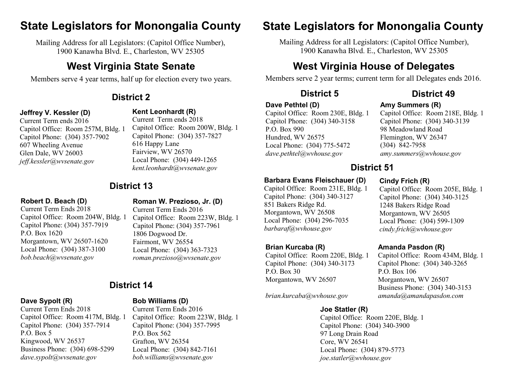## **State Legislators for Monongalia County State Legislators for Monongalia County**

Mailing Address for all Legislators: (Capitol Office Number), 1900 Kanawha Blvd. E., Charleston, WV 25305

## **West Virginia State Senate**

Members serve 4 year terms, half up for election every two years.

#### **Jeffrey V. Kessler (D)**

**Kent Leonhardt (R)**  Current Term ends 2018

616 Happy Lane Fairview, WV 26570

Current Term ends 2016 Capitol Office: Room 257M, Bldg. 1 Capitol Phone: (304) 357-7902 607 Wheeling Avenue Glen Dale, WV 26003 *jeff.kessler@wvsenate.gov*

## **District 13**

#### **Robert D. Beach (D)**

Current Term Ends 2018 Capitol Office: Room 204W, Bldg. 1 Capitol Phone: (304) 357-7919 P.O. Box 1620 Morgantown, WV 26507-1620 Local Phone: (304) 387-3100 *bob.beach@wvsenate.gov*

### **Roman W. Prezioso, Jr. (D)**

Local Phone: (304) 449-1265 *kent.leonhardt@wvsenate.gov*

Capitol Office: Room 200W, Bldg. 1 Capitol Phone: (304) 357-7827

Current Term Ends 2016 Capitol Office: Room 223W, Bldg. 1 Capitol Phone: (304) 357-7961 1806 Dogwood Dr. Fairmont, WV 26554 Local Phone: (304) 363-7323 *roman.prezioso@wvsenate.gov*

## **District 14**

#### **Dave Sypolt (R)**

Current Term Ends 2018 Capitol Office: Room 417M, Bldg. 1 Capitol Phone: (304) 357-7914 P.O. Box 5 Kingwood, WV 26537 Business Phone: (304) 698-5299 *dave.sypolt@wvsenate.gov*

### **Bob Williams (D)**

Current Term Ends 2016 Capitol Office: Room 223W, Bldg. 1 Capitol Phone: (304) 357-7995 P.O. Box 562 Grafton, WV 26354 Local Phone: (304) 842-7161 *bob.williams@wvsenate.gov*

Mailing Address for all Legislators: (Capitol Office Number), 1900 Kanawha Blvd. E., Charleston, WV 25305

## **West Virginia House of Delegates**

Members serve 2 year terms; current term for all Delegates ends 2016.

## **District 2 District 5 District 49**

#### **Dave Pethtel (D)**

**Brian Kurcaba (R)**

851 Bakers Ridge Rd. Morgantown, WV 26508 Local Phone: (304) 296-7035 *barbaraf@wvhouse.gov*

Morgantown, WV 26507

*brian.kurcaba@wvhouse.gov*

P.O. Box 30

Capitol Office: Room 220E, Bldg. 1 Capitol Phone: (304) 340-3173

Capitol Office: Room 230E, Bldg. 1 Capitol Phone: (304) 340-3158 P.O. Box 990 Hundred, WV 26575 Local Phone: (304) 775-5472 *dave.pethtel@wvhouse.gov*

**Barbara Evans Fleischauer (D)** Capitol Office: Room 231E, Bldg. 1 Capitol Phone: (304) 340-3127

### **Amy Summers (R)**

Capitol Office: Room 218E, Bldg. 1 Capitol Phone: (304) 340-3139 98 Meadowland Road Flemington, WV 26347 (304) 842-7958 *amy.summers@wvhouse.gov*

## **District 51**

### **Cindy Frich (R)**

Capitol Office: Room 205E, Bldg. 1 Capitol Phone: (304) 340-3125 1248 Bakers Ridge Road Morgantown, WV 26505 Local Phone: (304) 599-1309 *cindy.frich@wvhouse.gov*

#### **Amanda Pasdon (R)**

Capitol Office: Room 434M, Bldg. 1 Capitol Phone: (304) 340-3265 P.O. Box 106 Morgantown, WV 26507 Business Phone: (304) 340-3153 *amanda@amandapasdon.com*

**Joe Statler (R)** Capitol Office: Room 220E, Bldg. 1 Capitol Phone: (304) 340-3900 97 Long Drain Road Core, WV 26541 Local Phone: (304) 879-5773 *joe.statler@wvhouse.gov*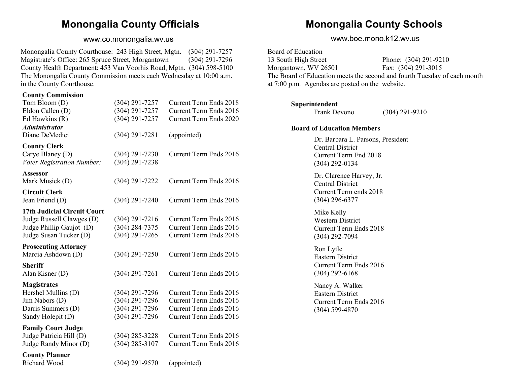## **Monongalia County Officials**

#### www.co.monongalia.wv.us

Monongalia County Courthouse: 243 High Street, Mgtn. (304) 291-7257 Magistrate's Office: 265 Spruce Street, Morgantown (304) 291-7296 County Health Department: 453 Van Voorhis Road, Mgtn. (304) 598-5100 The Monongalia County Commission meets each Wednesday at 10:00 a.m. in the County Courthouse.

#### **County Commission**

| $(304)$ 291-7257   | <b>Current Term Ends 2018</b> |
|--------------------|-------------------------------|
| $(304) 291 - 7257$ | Current Term Ends 2016        |
| $(304)$ 291-7257   | Current Term Ends 2020        |
|                    |                               |
| $(304)$ 291-7281   | (appointed)                   |
|                    |                               |
|                    | Current Term Ends 2016        |
| $(304)$ 291-7238   |                               |
|                    |                               |
| (304) 291-7222     | Current Term Ends 2016        |
|                    |                               |
| $(304)$ 291-7240   | Current Term Ends 2016        |
|                    |                               |
| $(304)$ 291-7216   | Current Term Ends 2016        |
| $(304) 284 - 7375$ | <b>Current Term Ends 2016</b> |
| $(304)$ 291-7265   | Current Term Ends 2016        |
|                    |                               |
| $(304)$ 291-7250   | Current Term Ends 2016        |
|                    |                               |
| $(304)$ 291-7261   | Current Term Ends 2016        |
|                    |                               |
| $(304)$ 291-7296   | Current Term Ends 2016        |
| $(304)$ 291-7296   | Current Term Ends 2016        |
| $(304)$ 291-7296   | Current Term Ends 2016        |
| $(304)$ 291-7296   | Current Term Ends 2016        |
|                    |                               |
| $(304)$ 285-3228   | Current Term Ends 2016        |
| $(304)$ 285-3107   | Current Term Ends 2016        |
|                    |                               |
|                    | $(304)$ 291-7230              |

Richard Wood (304) 291-9570 (appointed)

## **Monongalia County Schools**

www.boe.mono.k12.wv.us

Board of Education 13 South High Street Phone: (304) 291-9210 Morgantown, WV 26501 Fax: (304) 291-3015 The Board of Education meets the second and fourth Tuesday of each month at 7:00 p.m. Agendas are posted on the website.

#### **Superintendent**

Frank Devono (304) 291-9210

#### **Board of Education Members**

Dr. Barbara L. Parsons, President Central District Current Term End 2018 (304) 292-0134

Dr. Clarence Harvey, Jr. Central District Current Term ends 2018 (304) 296-6377

Mike Kelly Western District Current Term Ends 2018 (304) 292-7094

Ron Lytle Eastern District Current Term Ends 2016 (304) 292-6168

Nancy A. Walker Eastern District Current Term Ends 2016 (304) 599-4870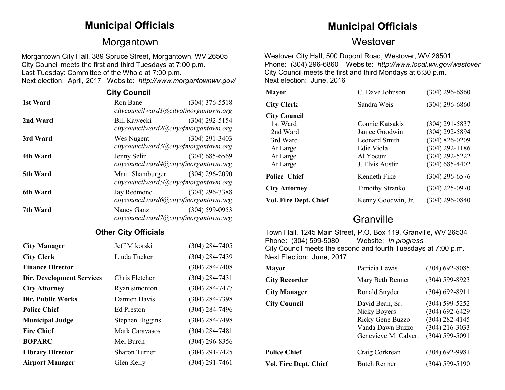## Morgantown Westover

Morgantown City Hall, 389 Spruce Street, Morgantown, WV 26505 City Council meets the first and third Tuesdays at 7:00 p.m. Last Tuesday: Committee of the Whole at 7:00 p.m. Next election: April, 2017 Website: *http://www.morgantownwv.gov/*

|          | <b>City Council</b>                                                      |                    |
|----------|--------------------------------------------------------------------------|--------------------|
| 1st Ward | Ron Bane<br>citycouncilward1@cityofmorgantown.org                        | $(304)$ 376-5518   |
| 2nd Ward | Bill Kawecki<br>citycouncilward2@cityofmorgantown.org                    | $(304)$ 292-5154   |
| 3rd Ward | Wes Nugent<br>citycouncilward3@cityofmorgantown.org                      | $(304)$ 291-3403   |
| 4th Ward | Jenny Selin<br>citycouncilward4@cityofmorgantown.org                     | $(304)$ 685-6569   |
| 5th Ward | Marti Shamburger (304) 296-2090<br>citycouncilward5@cityofmorgantown.org |                    |
| 6th Ward | Jay Redmond<br>citycouncilward6@cityofmorgantown.org                     | $(304)$ 296-3388   |
| 7th Ward | Nancy Ganz<br>citycouncilward7@cityofmorgantown.org                      | $(304) 599 - 0953$ |

#### **Other City Officials**

| <b>City Manager</b>              | Jeff Mikorski        | $(304)$ 284-7405   |
|----------------------------------|----------------------|--------------------|
| <b>City Clerk</b>                | Linda Tucker         | $(304) 284 - 7439$ |
| <b>Finance Director</b>          |                      | $(304)$ 284-7408   |
| <b>Dir. Development Services</b> | Chris Fletcher       | $(304) 284 - 7431$ |
| <b>City Attorney</b>             | Ryan simonton        | $(304) 284 - 7477$ |
| <b>Dir. Public Works</b>         | Damien Davis         | $(304)$ 284-7398   |
| <b>Police Chief</b>              | <b>Ed Preston</b>    | $(304)$ 284-7496   |
| <b>Municipal Judge</b>           | Stephen Higgins      | $(304)$ 284-7498   |
| <b>Fire Chief</b>                | Mark Caravasos       | $(304) 284 - 7481$ |
| <b>BOPARC</b>                    | Mel Burch            | $(304)$ 296-8356   |
| <b>Library Director</b>          | <b>Sharon Turner</b> | $(304)$ 291-7425   |
| <b>Airport Manager</b>           | Glen Kelly           | $(304)$ 291-7461   |

## **Municipal Officials Municipal Officials**

Westover City Hall, 500 Dupont Road, Westover, WV 26501 Phone: (304) 296-6860 Website: *http://www.local.wv.gov/westover* City Council meets the first and third Mondays at 6:30 p.m. Next election: June, 2016

| <b>Mayor</b>                 | C. Dave Johnson        | $(304)$ 296-6860   |
|------------------------------|------------------------|--------------------|
| <b>City Clerk</b>            | Sandra Weis            | $(304)$ 296-6860   |
| <b>City Council</b>          |                        |                    |
| 1st Ward                     | Connie Katsakis        | $(304)$ 291-5837   |
| 2nd Ward                     | Janice Goodwin         | $(304)$ 292-5894   |
| 3rd Ward                     | Leonard Smith          | $(304) 826 - 0209$ |
| At Large                     | Edie Viola             | $(304)$ 292-1186   |
| At Large                     | Al Yocum               | $(304)$ 292-5222   |
| At Large                     | J. Elvis Austin        | $(304)$ 685-4402   |
| <b>Police Chief</b>          | Kenneth Fike           | $(304)$ 296-6576   |
| <b>City Attorney</b>         | <b>Timothy Stranko</b> | $(304)$ 225-0970   |
| <b>Vol. Fire Dept. Chief</b> | Kenny Goodwin, Jr.     | $(304)$ 296-0840   |

## **Granville**

Town Hall, 1245 Main Street, P.O. Box 119, Granville, WV 26534 Phone: (304) 599-5080 Website: *In progress* City Council meets the second and fourth Tuesdays at 7:00 p.m. Next Election: June, 2017

| <b>Mayor</b>          | Patricia Lewis                                                                                  | $(304)$ 692-8085                                                                                       |
|-----------------------|-------------------------------------------------------------------------------------------------|--------------------------------------------------------------------------------------------------------|
| <b>City Recorder</b>  | Mary Beth Renner                                                                                | $(304) 599 - 8923$                                                                                     |
| <b>City Manager</b>   | Ronald Snyder                                                                                   | $(304)$ 692-8911                                                                                       |
| <b>City Council</b>   | David Bean, Sr.<br>Nicky Boyers<br>Ricky Gene Buzzo<br>Vanda Dawn Buzzo<br>Genevieve M. Calvert | $(304) 599 - 5252$<br>$(304) 692 - 6429$<br>$(304)$ 282-4145<br>$(304)$ 216-3033<br>$(304) 599 - 5091$ |
| <b>Police Chief</b>   | Craig Corkrean                                                                                  | $(304) 692 - 9981$                                                                                     |
| Vol. Fire Dept. Chief | <b>Butch Renner</b>                                                                             | $(304) 599 - 5190$                                                                                     |